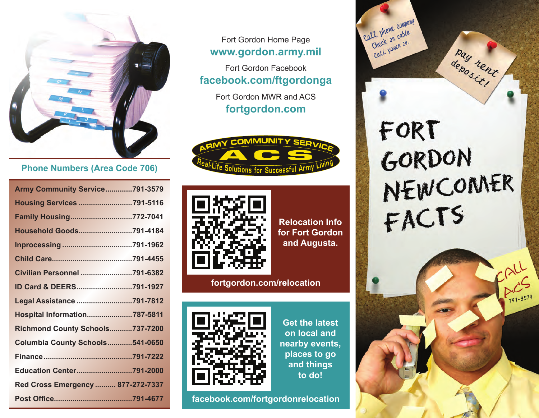

# **Phone Numbers (Area Code 706)**

| <b>Army Community Service791-3579</b> |  |
|---------------------------------------|--|
| <b>Housing Services 791-5116</b>      |  |
| Family Housing772-7041                |  |
| Household Goods791-4184               |  |
|                                       |  |
|                                       |  |
| Civilian Personnel 791-6382           |  |
| ID Card & DEERS791-1927               |  |
| Legal Assistance 791-7812             |  |
| Hospital Information787-5811          |  |
| Richmond County Schools737-7200       |  |
| Columbia County Schools541-0650       |  |
|                                       |  |
| <b>Education Center791-2000</b>       |  |
| Red Cross Emergency  877-272-7337     |  |
|                                       |  |

Fort Gordon Home Page **www.gordon.army.mil**

Fort Gordon Facebook **facebook.com/ftgordonga**

> Fort Gordon MWR and ACS **fortgordon.com**





**Relocation Info for Fort Gordon and Augusta.**

**fortgordon.com/relocation**



**Get the latest on local and nearby events, places to go and things to do!**

**facebook.com/fortgordonrelocation**

FORT GORDON<br>NEWCOMER<br>FACTS

pay rent

Call phone company all phone compare Check on cave.